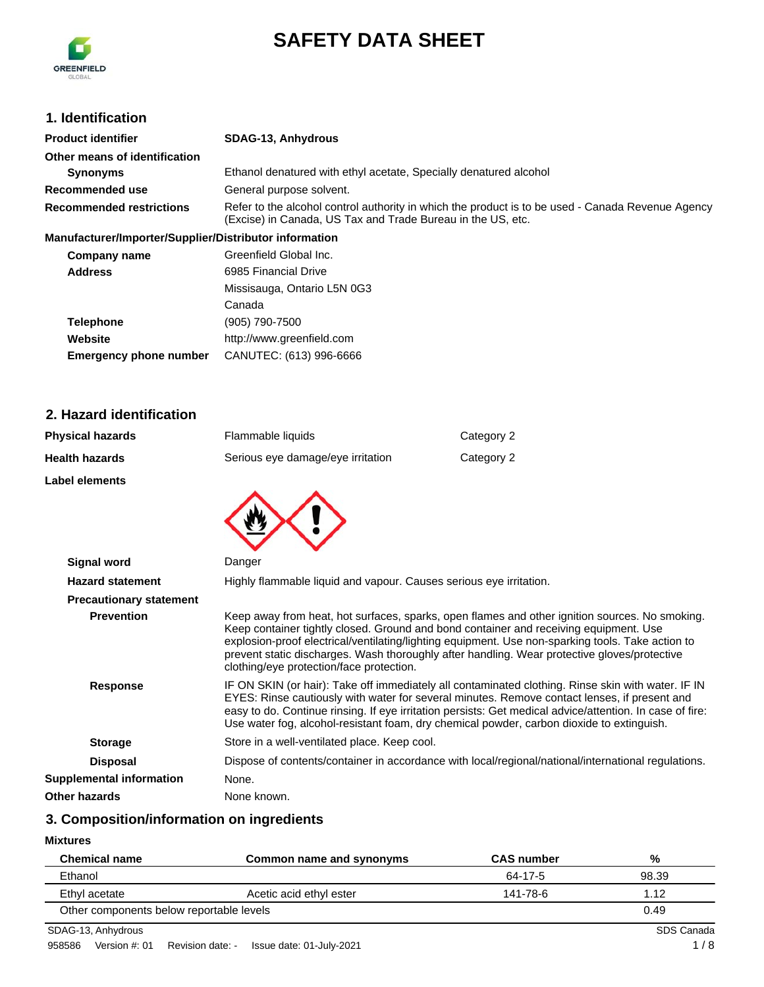

# **SAFETY DATA SHEET**

# **1. Identification**

| <b>Product identifier</b>                              | <b>SDAG-13, Anhydrous</b>                                                                                                                                        |
|--------------------------------------------------------|------------------------------------------------------------------------------------------------------------------------------------------------------------------|
| Other means of identification                          |                                                                                                                                                                  |
| <b>Synonyms</b>                                        | Ethanol denatured with ethyl acetate, Specially denatured alcohol                                                                                                |
| Recommended use                                        | General purpose solvent.                                                                                                                                         |
| <b>Recommended restrictions</b>                        | Refer to the alcohol control authority in which the product is to be used - Canada Revenue Agency<br>(Excise) in Canada, US Tax and Trade Bureau in the US, etc. |
| Manufacturer/Importer/Supplier/Distributor information |                                                                                                                                                                  |
| Company name                                           | Greenfield Global Inc.                                                                                                                                           |

| Company name   | Greenfield Global Inc.      |
|----------------|-----------------------------|
| <b>Address</b> | 6985 Financial Drive        |
|                | Missisauga, Ontario L5N 0G3 |
|                | $\sim$ $\sim$               |

|                               | Canada                    |
|-------------------------------|---------------------------|
| <b>Telephone</b>              | (905) 790-7500            |
| Website                       | http://www.greenfield.com |
| <b>Emergency phone number</b> | CANUTEC: (613) 996-6666   |

# **2. Hazard identification**

| <b>Physical hazards</b>         | Flammable liquids                                                  | Category 2                                                                                                                                                                                                                                                                                                                                                                                                  |
|---------------------------------|--------------------------------------------------------------------|-------------------------------------------------------------------------------------------------------------------------------------------------------------------------------------------------------------------------------------------------------------------------------------------------------------------------------------------------------------------------------------------------------------|
| <b>Health hazards</b>           | Serious eye damage/eye irritation                                  | Category 2                                                                                                                                                                                                                                                                                                                                                                                                  |
| <b>Label elements</b>           |                                                                    |                                                                                                                                                                                                                                                                                                                                                                                                             |
|                                 |                                                                    |                                                                                                                                                                                                                                                                                                                                                                                                             |
|                                 |                                                                    |                                                                                                                                                                                                                                                                                                                                                                                                             |
|                                 |                                                                    |                                                                                                                                                                                                                                                                                                                                                                                                             |
| <b>Signal word</b>              | Danger                                                             |                                                                                                                                                                                                                                                                                                                                                                                                             |
| <b>Hazard statement</b>         | Highly flammable liquid and vapour. Causes serious eye irritation. |                                                                                                                                                                                                                                                                                                                                                                                                             |
| <b>Precautionary statement</b>  |                                                                    |                                                                                                                                                                                                                                                                                                                                                                                                             |
| <b>Prevention</b>               | clothing/eye protection/face protection.                           | Keep away from heat, hot surfaces, sparks, open flames and other ignition sources. No smoking.<br>Keep container tightly closed. Ground and bond container and receiving equipment. Use<br>explosion-proof electrical/ventilating/lighting equipment. Use non-sparking tools. Take action to<br>prevent static discharges. Wash thoroughly after handling. Wear protective gloves/protective                |
| <b>Response</b>                 |                                                                    | IF ON SKIN (or hair): Take off immediately all contaminated clothing. Rinse skin with water. IF IN<br>EYES: Rinse cautiously with water for several minutes. Remove contact lenses, if present and<br>easy to do. Continue rinsing. If eye irritation persists: Get medical advice/attention. In case of fire:<br>Use water fog, alcohol-resistant foam, dry chemical powder, carbon dioxide to extinguish. |
| <b>Storage</b>                  | Store in a well-ventilated place. Keep cool.                       |                                                                                                                                                                                                                                                                                                                                                                                                             |
| <b>Disposal</b>                 |                                                                    | Dispose of contents/container in accordance with local/regional/national/international regulations.                                                                                                                                                                                                                                                                                                         |
| <b>Supplemental information</b> | None.                                                              |                                                                                                                                                                                                                                                                                                                                                                                                             |
| Other hazards                   | None known.                                                        |                                                                                                                                                                                                                                                                                                                                                                                                             |

# **3. Composition/information on ingredients**

**Mixtures**

| <b>Chemical name</b>                     | Common name and synonyms | <b>CAS number</b> | %     |
|------------------------------------------|--------------------------|-------------------|-------|
| Ethanol                                  |                          | 64-17-5           | 98.39 |
| Ethyl acetate                            | Acetic acid ethyl ester  | 141-78-6          | 1.12  |
| Other components below reportable levels |                          |                   | 0.49  |

SDAG-13, Anhydrous SDS Canada SDS Canada SDS Canada SDS Canada SDS Canada SDS Canada SDS Canada SDS Canada SUS Canada SUS Canada SUS Canada SUS Canada SUS Canada SUS Canada SUS Canada SUS Canada SUS Canada SUS Canada SUS C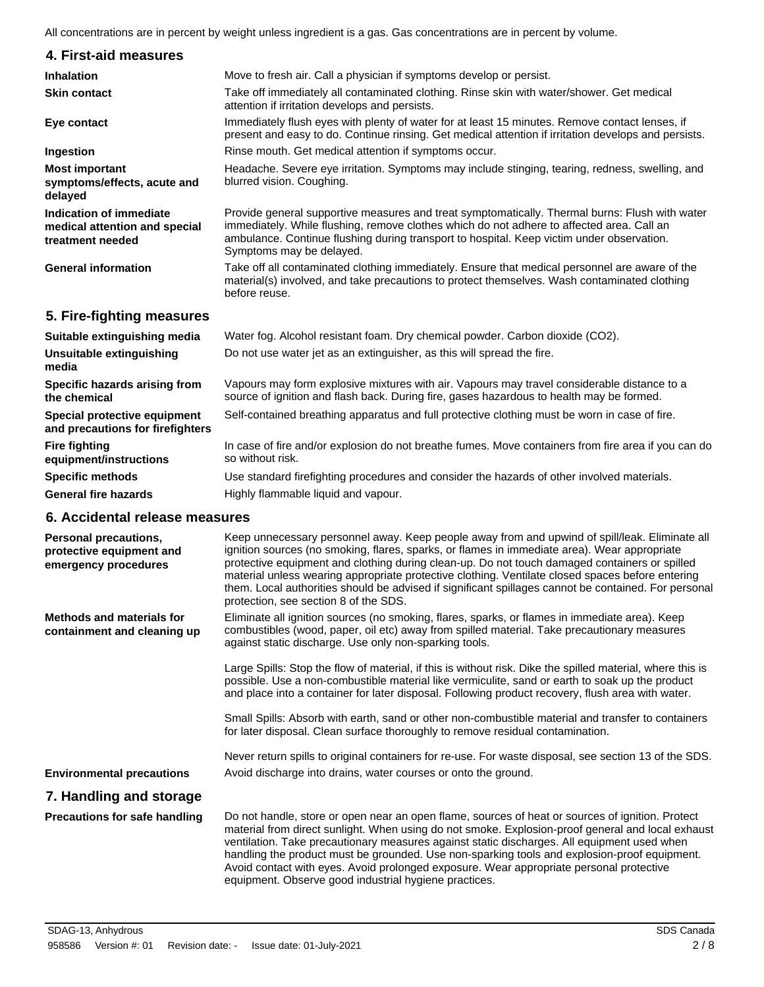|                                                                                  | All concentrations are in percent by weight unless ingredient is a gas. Gas concentrations are in percent by volume.                                                                                                                                                                                                                                                                                                                                                                                                                                 |
|----------------------------------------------------------------------------------|------------------------------------------------------------------------------------------------------------------------------------------------------------------------------------------------------------------------------------------------------------------------------------------------------------------------------------------------------------------------------------------------------------------------------------------------------------------------------------------------------------------------------------------------------|
| 4. First-aid measures                                                            |                                                                                                                                                                                                                                                                                                                                                                                                                                                                                                                                                      |
| <b>Inhalation</b>                                                                | Move to fresh air. Call a physician if symptoms develop or persist.                                                                                                                                                                                                                                                                                                                                                                                                                                                                                  |
| <b>Skin contact</b>                                                              | Take off immediately all contaminated clothing. Rinse skin with water/shower. Get medical<br>attention if irritation develops and persists.                                                                                                                                                                                                                                                                                                                                                                                                          |
| Eye contact                                                                      | Immediately flush eyes with plenty of water for at least 15 minutes. Remove contact lenses, if<br>present and easy to do. Continue rinsing. Get medical attention if irritation develops and persists.                                                                                                                                                                                                                                                                                                                                               |
| Ingestion                                                                        | Rinse mouth. Get medical attention if symptoms occur.                                                                                                                                                                                                                                                                                                                                                                                                                                                                                                |
| <b>Most important</b><br>symptoms/effects, acute and<br>delayed                  | Headache. Severe eye irritation. Symptoms may include stinging, tearing, redness, swelling, and<br>blurred vision. Coughing.                                                                                                                                                                                                                                                                                                                                                                                                                         |
| Indication of immediate<br>medical attention and special<br>treatment needed     | Provide general supportive measures and treat symptomatically. Thermal burns: Flush with water<br>immediately. While flushing, remove clothes which do not adhere to affected area. Call an<br>ambulance. Continue flushing during transport to hospital. Keep victim under observation.<br>Symptoms may be delayed.                                                                                                                                                                                                                                 |
| <b>General information</b>                                                       | Take off all contaminated clothing immediately. Ensure that medical personnel are aware of the<br>material(s) involved, and take precautions to protect themselves. Wash contaminated clothing<br>before reuse.                                                                                                                                                                                                                                                                                                                                      |
| 5. Fire-fighting measures                                                        |                                                                                                                                                                                                                                                                                                                                                                                                                                                                                                                                                      |
| Suitable extinguishing media                                                     | Water fog. Alcohol resistant foam. Dry chemical powder. Carbon dioxide (CO2).                                                                                                                                                                                                                                                                                                                                                                                                                                                                        |
| <b>Unsuitable extinguishing</b><br>media                                         | Do not use water jet as an extinguisher, as this will spread the fire.                                                                                                                                                                                                                                                                                                                                                                                                                                                                               |
| Specific hazards arising from<br>the chemical                                    | Vapours may form explosive mixtures with air. Vapours may travel considerable distance to a<br>source of ignition and flash back. During fire, gases hazardous to health may be formed.                                                                                                                                                                                                                                                                                                                                                              |
| Special protective equipment<br>and precautions for firefighters                 | Self-contained breathing apparatus and full protective clothing must be worn in case of fire.                                                                                                                                                                                                                                                                                                                                                                                                                                                        |
| <b>Fire fighting</b><br>equipment/instructions                                   | In case of fire and/or explosion do not breathe fumes. Move containers from fire area if you can do<br>so without risk.                                                                                                                                                                                                                                                                                                                                                                                                                              |
| <b>Specific methods</b>                                                          | Use standard firefighting procedures and consider the hazards of other involved materials.                                                                                                                                                                                                                                                                                                                                                                                                                                                           |
| <b>General fire hazards</b>                                                      | Highly flammable liquid and vapour.                                                                                                                                                                                                                                                                                                                                                                                                                                                                                                                  |
| 6. Accidental release measures                                                   |                                                                                                                                                                                                                                                                                                                                                                                                                                                                                                                                                      |
| <b>Personal precautions,</b><br>protective equipment and<br>emergency procedures | Keep unnecessary personnel away. Keep people away from and upwind of spill/leak. Eliminate all<br>ignition sources (no smoking, flares, sparks, or flames in immediate area). Wear appropriate<br>protective equipment and clothing during clean-up. Do not touch damaged containers or spilled<br>material unless wearing appropriate protective clothing. Ventilate closed spaces before entering<br>them. Local authorities should be advised if significant spillages cannot be contained. For personal<br>protection, see section 8 of the SDS. |
| <b>Methods and materials for</b><br>containment and cleaning up                  | Eliminate all ignition sources (no smoking, flares, sparks, or flames in immediate area). Keep<br>combustibles (wood, paper, oil etc) away from spilled material. Take precautionary measures<br>against static discharge. Use only non-sparking tools.                                                                                                                                                                                                                                                                                              |
|                                                                                  |                                                                                                                                                                                                                                                                                                                                                                                                                                                                                                                                                      |

Large Spills: Stop the flow of material, if this is without risk. Dike the spilled material, where this is possible. Use a non-combustible material like vermiculite, sand or earth to soak up the product and place into a container for later disposal. Following product recovery, flush area with water.

Small Spills: Absorb with earth, sand or other non-combustible material and transfer to containers for later disposal. Clean surface thoroughly to remove residual contamination.

Never return spills to original containers for re-use. For waste disposal, see section 13 of the SDS. **Environmental precautions** Avoid discharge into drains, water courses or onto the ground.

## **7. Handling and storage**

**Precautions for safe handling**

Do not handle, store or open near an open flame, sources of heat or sources of ignition. Protect material from direct sunlight. When using do not smoke. Explosion-proof general and local exhaust ventilation. Take precautionary measures against static discharges. All equipment used when handling the product must be grounded. Use non-sparking tools and explosion-proof equipment. Avoid contact with eyes. Avoid prolonged exposure. Wear appropriate personal protective equipment. Observe good industrial hygiene practices.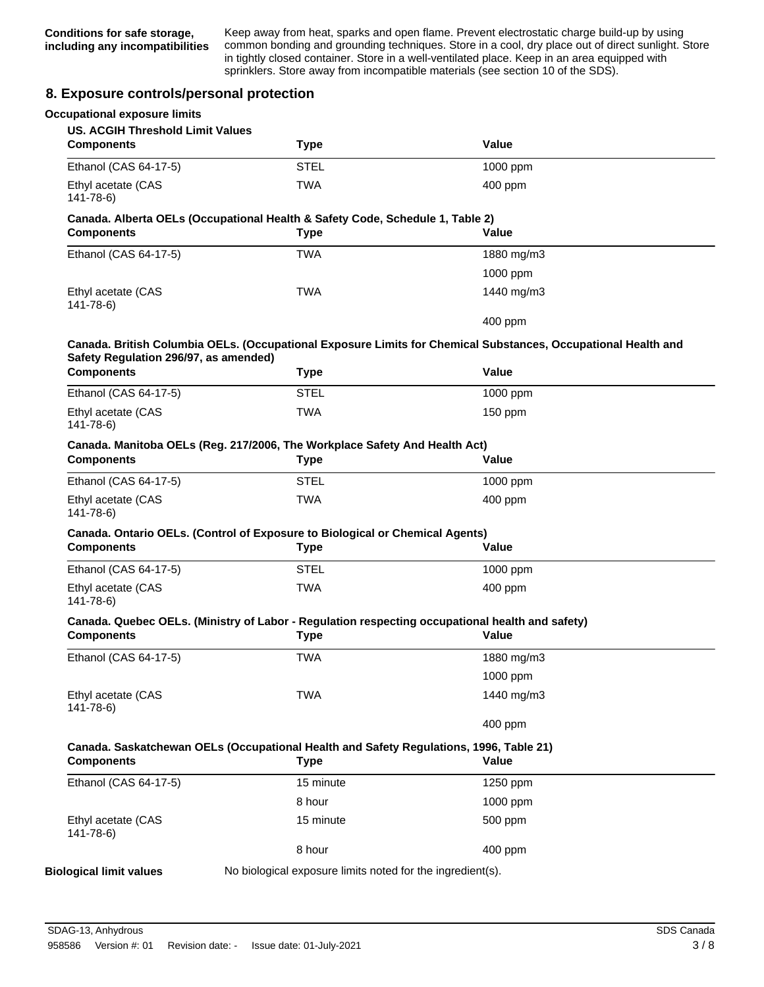Keep away from heat, sparks and open flame. Prevent electrostatic charge build-up by using common bonding and grounding techniques. Store in a cool, dry place out of direct sunlight. Store in tightly closed container. Store in a well-ventilated place. Keep in an area equipped with sprinklers. Store away from incompatible materials (see section 10 of the SDS).

## **8. Exposure controls/personal protection**

| <b>Occupational exposure limits</b><br><b>US. ACGIH Threshold Limit Values</b>                  |                                                                                                       |                                                                                                               |
|-------------------------------------------------------------------------------------------------|-------------------------------------------------------------------------------------------------------|---------------------------------------------------------------------------------------------------------------|
| <b>Components</b>                                                                               | <b>Type</b>                                                                                           | Value                                                                                                         |
| Ethanol (CAS 64-17-5)                                                                           | <b>STEL</b>                                                                                           | 1000 ppm                                                                                                      |
| Ethyl acetate (CAS<br>$141 - 78 - 6$                                                            | <b>TWA</b>                                                                                            | $400$ ppm                                                                                                     |
| <b>Components</b>                                                                               | Canada. Alberta OELs (Occupational Health & Safety Code, Schedule 1, Table 2)<br><b>Type</b>          | Value                                                                                                         |
| Ethanol (CAS 64-17-5)                                                                           | <b>TWA</b>                                                                                            | 1880 mg/m3                                                                                                    |
|                                                                                                 |                                                                                                       | 1000 ppm                                                                                                      |
| Ethyl acetate (CAS<br>$141 - 78 - 6$                                                            | TWA                                                                                                   | 1440 mg/m3                                                                                                    |
|                                                                                                 |                                                                                                       | 400 ppm                                                                                                       |
| Safety Regulation 296/97, as amended)                                                           |                                                                                                       | Canada. British Columbia OELs. (Occupational Exposure Limits for Chemical Substances, Occupational Health and |
| <b>Components</b>                                                                               | <b>Type</b>                                                                                           | Value                                                                                                         |
| Ethanol (CAS 64-17-5)                                                                           | <b>STEL</b>                                                                                           | 1000 ppm                                                                                                      |
| Ethyl acetate (CAS<br>$141 - 78 - 6$                                                            | <b>TWA</b>                                                                                            | $150$ ppm                                                                                                     |
|                                                                                                 |                                                                                                       |                                                                                                               |
|                                                                                                 |                                                                                                       |                                                                                                               |
| Canada. Manitoba OELs (Reg. 217/2006, The Workplace Safety And Health Act)<br><b>Components</b> | <b>Type</b>                                                                                           | Value                                                                                                         |
| Ethanol (CAS 64-17-5)                                                                           | <b>STEL</b>                                                                                           | 1000 ppm                                                                                                      |
| Ethyl acetate (CAS<br>$141 - 78 - 6$                                                            | <b>TWA</b>                                                                                            | $400$ ppm                                                                                                     |
| <b>Components</b>                                                                               | Canada. Ontario OELs. (Control of Exposure to Biological or Chemical Agents)<br><b>Type</b>           | Value                                                                                                         |
| Ethanol (CAS 64-17-5)                                                                           | <b>STEL</b>                                                                                           | 1000 ppm                                                                                                      |
| Ethyl acetate (CAS<br>$141 - 78 - 6$                                                            | <b>TWA</b>                                                                                            | 400 ppm                                                                                                       |
| <b>Components</b>                                                                               | <b>Type</b>                                                                                           | Canada. Quebec OELs. (Ministry of Labor - Regulation respecting occupational health and safety)<br>Value      |
| Ethanol (CAS 64-17-5)                                                                           | TWA                                                                                                   | 1880 mg/m3                                                                                                    |
|                                                                                                 |                                                                                                       | 1000 ppm                                                                                                      |
| Ethyl acetate (CAS<br>$141 - 78 - 6$                                                            | <b>TWA</b>                                                                                            | 1440 mg/m3                                                                                                    |
|                                                                                                 |                                                                                                       | 400 ppm                                                                                                       |
| <b>Components</b>                                                                               | Canada. Saskatchewan OELs (Occupational Health and Safety Regulations, 1996, Table 21)<br><b>Type</b> | Value                                                                                                         |
| Ethanol (CAS 64-17-5)                                                                           | 15 minute                                                                                             | 1250 ppm                                                                                                      |
|                                                                                                 | 8 hour                                                                                                | 1000 ppm                                                                                                      |
| Ethyl acetate (CAS<br>$141 - 78 - 6$                                                            | 15 minute                                                                                             | 500 ppm                                                                                                       |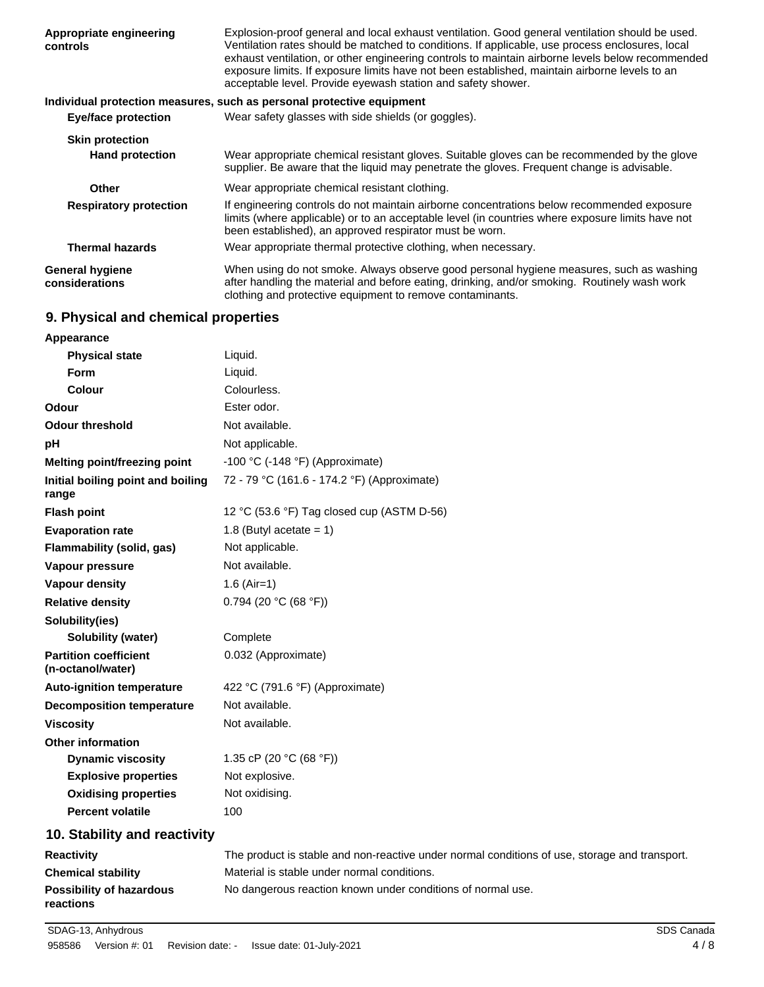| Appropriate engineering<br>controls      | Explosion-proof general and local exhaust ventilation. Good general ventilation should be used.<br>Ventilation rates should be matched to conditions. If applicable, use process enclosures, local<br>exhaust ventilation, or other engineering controls to maintain airborne levels below recommended<br>exposure limits. If exposure limits have not been established, maintain airborne levels to an<br>acceptable level. Provide eyewash station and safety shower. |
|------------------------------------------|-------------------------------------------------------------------------------------------------------------------------------------------------------------------------------------------------------------------------------------------------------------------------------------------------------------------------------------------------------------------------------------------------------------------------------------------------------------------------|
|                                          | Individual protection measures, such as personal protective equipment                                                                                                                                                                                                                                                                                                                                                                                                   |
| <b>Eye/face protection</b>               | Wear safety glasses with side shields (or goggles).                                                                                                                                                                                                                                                                                                                                                                                                                     |
| <b>Skin protection</b>                   |                                                                                                                                                                                                                                                                                                                                                                                                                                                                         |
| <b>Hand protection</b>                   | Wear appropriate chemical resistant gloves. Suitable gloves can be recommended by the glove<br>supplier. Be aware that the liquid may penetrate the gloves. Frequent change is advisable.                                                                                                                                                                                                                                                                               |
| <b>Other</b>                             | Wear appropriate chemical resistant clothing.                                                                                                                                                                                                                                                                                                                                                                                                                           |
| <b>Respiratory protection</b>            | If engineering controls do not maintain airborne concentrations below recommended exposure<br>limits (where applicable) or to an acceptable level (in countries where exposure limits have not<br>been established), an approved respirator must be worn.                                                                                                                                                                                                               |
| <b>Thermal hazards</b>                   | Wear appropriate thermal protective clothing, when necessary.                                                                                                                                                                                                                                                                                                                                                                                                           |
| <b>General hygiene</b><br>considerations | When using do not smoke. Always observe good personal hygiene measures, such as washing<br>after handling the material and before eating, drinking, and/or smoking. Routinely wash work<br>clothing and protective equipment to remove contaminants.                                                                                                                                                                                                                    |

# **9. Physical and chemical properties**

| Appearance                                        |                                                                          |
|---------------------------------------------------|--------------------------------------------------------------------------|
| <b>Physical state</b>                             | Liquid.                                                                  |
| <b>Form</b>                                       | Liquid.                                                                  |
| Colour                                            | Colourless.                                                              |
| Odour                                             | Ester odor.                                                              |
| <b>Odour threshold</b>                            | Not available.                                                           |
| рH                                                | Not applicable.                                                          |
| Melting point/freezing point                      | -100 °C (-148 °F) (Approximate)                                          |
| Initial boiling point and boiling<br>range        | 72 - 79 °C (161.6 - 174.2 °F) (Approximate)                              |
| <b>Flash point</b>                                | 12 °C (53.6 °F) Tag closed cup (ASTM D-56)                               |
| <b>Evaporation rate</b>                           | 1.8 (Butyl acetate = $1$ )                                               |
| Flammability (solid, gas)                         | Not applicable.                                                          |
| Vapour pressure                                   | Not available.                                                           |
| <b>Vapour density</b>                             | $1.6$ (Air=1)                                                            |
| <b>Relative density</b>                           | 0.794 (20 °C (68 °F))                                                    |
| Solubility(ies)                                   |                                                                          |
| Solubility (water)                                | Complete                                                                 |
| <b>Partition coefficient</b><br>(n-octanol/water) | 0.032 (Approximate)                                                      |
| <b>Auto-ignition temperature</b>                  | 422 °C (791.6 °F) (Approximate)                                          |
| <b>Decomposition temperature</b>                  | Not available.                                                           |
| <b>Viscosity</b>                                  | Not available.                                                           |
| <b>Other information</b>                          |                                                                          |
| <b>Dynamic viscosity</b>                          | 1.35 cP (20 $°C$ (68 °F))                                                |
| <b>Explosive properties</b>                       | Not explosive.                                                           |
| <b>Oxidising properties</b>                       | Not oxidising.                                                           |
| <b>Percent volatile</b>                           | 100                                                                      |
| 10. Stability and reactivity                      |                                                                          |
| <b>Reactivity</b>                                 | The product is stable and non-reactive under normal conditions of use, a |

| <b>Reactivity</b>                            | The product is stable and non-reactive under normal conditions of use, storage and transport. |
|----------------------------------------------|-----------------------------------------------------------------------------------------------|
| <b>Chemical stability</b>                    | Material is stable under normal conditions.                                                   |
| <b>Possibility of hazardous</b><br>reactions | No dangerous reaction known under conditions of normal use.                                   |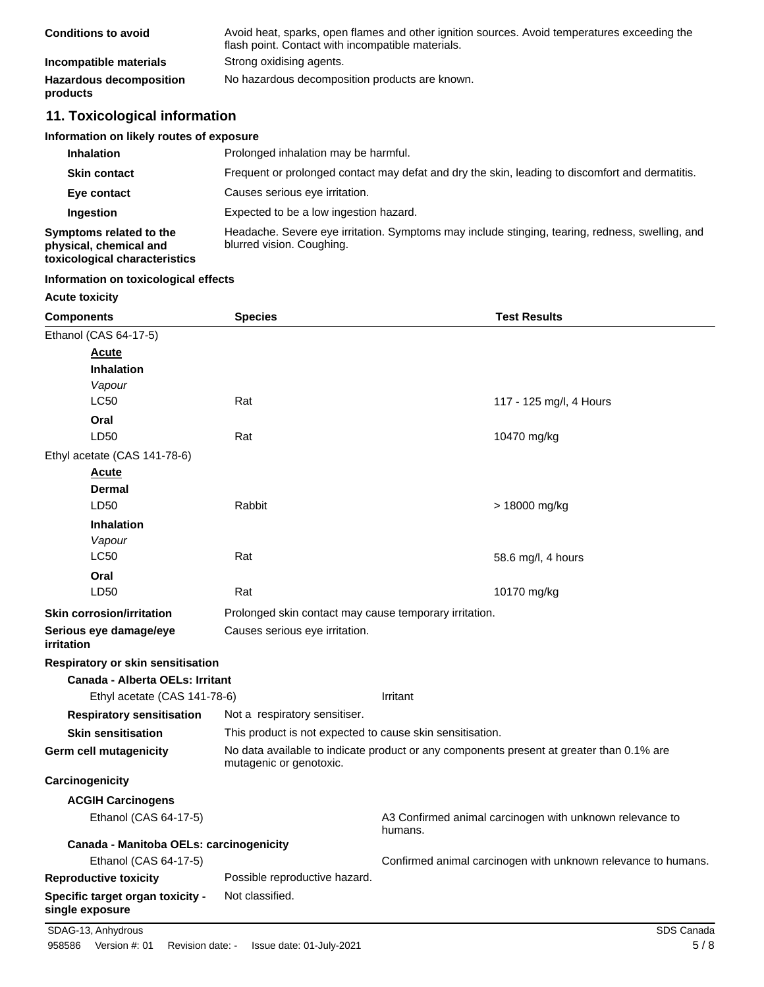| <b>Conditions to avoid</b>                 | Avoid heat, sparks, open flames and other ignition sources. Avoid temperatures exceeding the<br>flash point. Contact with incompatible materials. |
|--------------------------------------------|---------------------------------------------------------------------------------------------------------------------------------------------------|
| Incompatible materials                     | Strong oxidising agents.                                                                                                                          |
| <b>Hazardous decomposition</b><br>products | No hazardous decomposition products are known.                                                                                                    |

# **11. Toxicological information**

#### **Information on likely routes of exposure**

| <b>Inhalation</b>                                                                  | Prolonged inhalation may be harmful.                                                                                         |
|------------------------------------------------------------------------------------|------------------------------------------------------------------------------------------------------------------------------|
| <b>Skin contact</b>                                                                | Frequent or prolonged contact may defat and dry the skin, leading to discomfort and dermatitis.                              |
| Eye contact                                                                        | Causes serious eye irritation.                                                                                               |
| Ingestion                                                                          | Expected to be a low ingestion hazard.                                                                                       |
| Symptoms related to the<br>physical, chemical and<br>toxicological characteristics | Headache. Severe eye irritation. Symptoms may include stinging, tearing, redness, swelling, and<br>blurred vision. Coughing. |

## **Information on toxicological effects**

#### **Acute toxicity**

| <b>Components</b>                                   | <b>Species</b>                                                                                                      |         | <b>Test Results</b>                                           |
|-----------------------------------------------------|---------------------------------------------------------------------------------------------------------------------|---------|---------------------------------------------------------------|
| Ethanol (CAS 64-17-5)                               |                                                                                                                     |         |                                                               |
| Acute                                               |                                                                                                                     |         |                                                               |
| <b>Inhalation</b>                                   |                                                                                                                     |         |                                                               |
| Vapour                                              |                                                                                                                     |         |                                                               |
| <b>LC50</b>                                         | Rat                                                                                                                 |         | 117 - 125 mg/l, 4 Hours                                       |
| Oral                                                |                                                                                                                     |         |                                                               |
| LD50                                                | Rat                                                                                                                 |         | 10470 mg/kg                                                   |
| Ethyl acetate (CAS 141-78-6)                        |                                                                                                                     |         |                                                               |
| Acute                                               |                                                                                                                     |         |                                                               |
| Dermal                                              |                                                                                                                     |         |                                                               |
| LD50                                                | Rabbit                                                                                                              |         | > 18000 mg/kg                                                 |
| <b>Inhalation</b>                                   |                                                                                                                     |         |                                                               |
| Vapour                                              |                                                                                                                     |         |                                                               |
| <b>LC50</b>                                         | Rat                                                                                                                 |         | 58.6 mg/l, 4 hours                                            |
| Oral                                                |                                                                                                                     |         |                                                               |
| LD50                                                | Rat                                                                                                                 |         | 10170 mg/kg                                                   |
| <b>Skin corrosion/irritation</b>                    | Prolonged skin contact may cause temporary irritation.                                                              |         |                                                               |
| Serious eye damage/eye<br>irritation                | Causes serious eye irritation.                                                                                      |         |                                                               |
| Respiratory or skin sensitisation                   |                                                                                                                     |         |                                                               |
| Canada - Alberta OELs: Irritant                     |                                                                                                                     |         |                                                               |
| Ethyl acetate (CAS 141-78-6)                        | Irritant                                                                                                            |         |                                                               |
| <b>Respiratory sensitisation</b>                    | Not a respiratory sensitiser.                                                                                       |         |                                                               |
| <b>Skin sensitisation</b>                           | This product is not expected to cause skin sensitisation.                                                           |         |                                                               |
| Germ cell mutagenicity                              | No data available to indicate product or any components present at greater than 0.1% are<br>mutagenic or genotoxic. |         |                                                               |
| Carcinogenicity                                     |                                                                                                                     |         |                                                               |
| <b>ACGIH Carcinogens</b>                            |                                                                                                                     |         |                                                               |
| Ethanol (CAS 64-17-5)                               |                                                                                                                     | humans. | A3 Confirmed animal carcinogen with unknown relevance to      |
| Canada - Manitoba OELs: carcinogenicity             |                                                                                                                     |         |                                                               |
| Ethanol (CAS 64-17-5)                               |                                                                                                                     |         | Confirmed animal carcinogen with unknown relevance to humans. |
| <b>Reproductive toxicity</b>                        | Possible reproductive hazard.                                                                                       |         |                                                               |
| Specific target organ toxicity -<br>single exposure | Not classified.                                                                                                     |         |                                                               |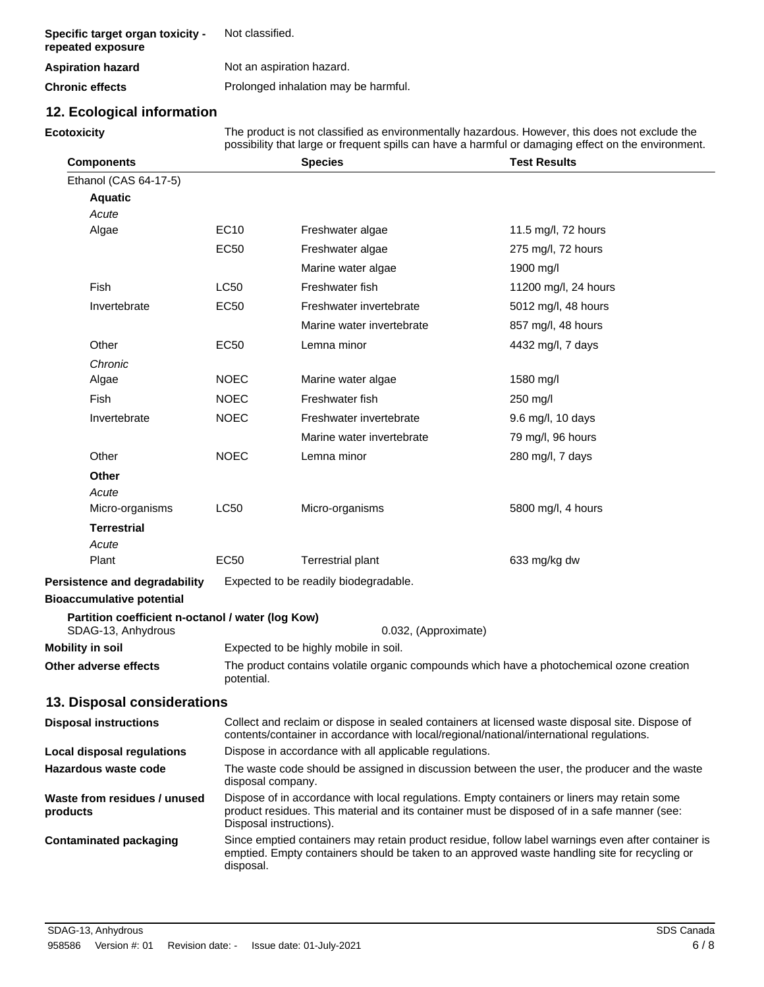| Specific target organ toxicity -<br>repeated exposure | Not classified.                      |
|-------------------------------------------------------|--------------------------------------|
| <b>Aspiration hazard</b>                              | Not an aspiration hazard.            |
| <b>Chronic effects</b>                                | Prolonged inhalation may be harmful. |

# **12. Ecological information**

**Ecotoxicity**

The product is not classified as environmentally hazardous. However, this does not exclude the possibility that large or frequent spills can have a harmful or damaging effect on the environment.

| <b>Components</b>                                 |                                                                                                                                                                                                                  | <b>Species</b>                                                                                                                                                                                                         | <b>Test Results</b>  |  |
|---------------------------------------------------|------------------------------------------------------------------------------------------------------------------------------------------------------------------------------------------------------------------|------------------------------------------------------------------------------------------------------------------------------------------------------------------------------------------------------------------------|----------------------|--|
| Ethanol (CAS 64-17-5)                             |                                                                                                                                                                                                                  |                                                                                                                                                                                                                        |                      |  |
| <b>Aquatic</b>                                    |                                                                                                                                                                                                                  |                                                                                                                                                                                                                        |                      |  |
| Acute                                             |                                                                                                                                                                                                                  |                                                                                                                                                                                                                        |                      |  |
| Algae                                             | <b>EC10</b>                                                                                                                                                                                                      | Freshwater algae                                                                                                                                                                                                       | 11.5 mg/l, 72 hours  |  |
|                                                   | <b>EC50</b>                                                                                                                                                                                                      | Freshwater algae                                                                                                                                                                                                       | 275 mg/l, 72 hours   |  |
|                                                   |                                                                                                                                                                                                                  | Marine water algae                                                                                                                                                                                                     | 1900 mg/l            |  |
| Fish                                              | <b>LC50</b>                                                                                                                                                                                                      | Freshwater fish                                                                                                                                                                                                        | 11200 mg/l, 24 hours |  |
| Invertebrate                                      | <b>EC50</b>                                                                                                                                                                                                      | Freshwater invertebrate                                                                                                                                                                                                | 5012 mg/l, 48 hours  |  |
|                                                   |                                                                                                                                                                                                                  | Marine water invertebrate                                                                                                                                                                                              | 857 mg/l, 48 hours   |  |
| Other                                             | <b>EC50</b>                                                                                                                                                                                                      | Lemna minor                                                                                                                                                                                                            | 4432 mg/l, 7 days    |  |
| Chronic                                           |                                                                                                                                                                                                                  |                                                                                                                                                                                                                        |                      |  |
| Algae                                             | <b>NOEC</b>                                                                                                                                                                                                      | Marine water algae                                                                                                                                                                                                     | 1580 mg/l            |  |
| Fish                                              | <b>NOEC</b>                                                                                                                                                                                                      | Freshwater fish                                                                                                                                                                                                        | 250 mg/l             |  |
| Invertebrate                                      | <b>NOEC</b>                                                                                                                                                                                                      | Freshwater invertebrate                                                                                                                                                                                                | 9.6 mg/l, 10 days    |  |
|                                                   |                                                                                                                                                                                                                  | Marine water invertebrate                                                                                                                                                                                              | 79 mg/l, 96 hours    |  |
| Other                                             | <b>NOEC</b>                                                                                                                                                                                                      | Lemna minor                                                                                                                                                                                                            | 280 mg/l, 7 days     |  |
| <b>Other</b>                                      |                                                                                                                                                                                                                  |                                                                                                                                                                                                                        |                      |  |
| Acute                                             |                                                                                                                                                                                                                  |                                                                                                                                                                                                                        |                      |  |
| Micro-organisms                                   | LC50                                                                                                                                                                                                             | Micro-organisms                                                                                                                                                                                                        | 5800 mg/l, 4 hours   |  |
| <b>Terrestrial</b>                                |                                                                                                                                                                                                                  |                                                                                                                                                                                                                        |                      |  |
| Acute                                             |                                                                                                                                                                                                                  |                                                                                                                                                                                                                        |                      |  |
| Plant                                             | <b>EC50</b>                                                                                                                                                                                                      | <b>Terrestrial plant</b>                                                                                                                                                                                               | 633 mg/kg dw         |  |
| Persistence and degradability                     |                                                                                                                                                                                                                  | Expected to be readily biodegradable.                                                                                                                                                                                  |                      |  |
| <b>Bioaccumulative potential</b>                  |                                                                                                                                                                                                                  |                                                                                                                                                                                                                        |                      |  |
| Partition coefficient n-octanol / water (log Kow) |                                                                                                                                                                                                                  |                                                                                                                                                                                                                        |                      |  |
| SDAG-13, Anhydrous<br><b>Mobility in soil</b>     |                                                                                                                                                                                                                  | 0.032, (Approximate)                                                                                                                                                                                                   |                      |  |
| Other adverse effects                             |                                                                                                                                                                                                                  | Expected to be highly mobile in soil.                                                                                                                                                                                  |                      |  |
|                                                   | potential.                                                                                                                                                                                                       | The product contains volatile organic compounds which have a photochemical ozone creation                                                                                                                              |                      |  |
| 13. Disposal considerations                       |                                                                                                                                                                                                                  |                                                                                                                                                                                                                        |                      |  |
| <b>Disposal instructions</b>                      |                                                                                                                                                                                                                  |                                                                                                                                                                                                                        |                      |  |
|                                                   |                                                                                                                                                                                                                  | Collect and reclaim or dispose in sealed containers at licensed waste disposal site. Dispose of<br>contents/container in accordance with local/regional/national/international regulations.                            |                      |  |
| <b>Local disposal regulations</b>                 |                                                                                                                                                                                                                  | Dispose in accordance with all applicable regulations.                                                                                                                                                                 |                      |  |
| Hazardous waste code                              |                                                                                                                                                                                                                  | The waste code should be assigned in discussion between the user, the producer and the waste<br>disposal company.                                                                                                      |                      |  |
| Waste from residues / unused<br>products          |                                                                                                                                                                                                                  | Dispose of in accordance with local regulations. Empty containers or liners may retain some<br>product residues. This material and its container must be disposed of in a safe manner (see:<br>Disposal instructions). |                      |  |
| <b>Contaminated packaging</b>                     | Since emptied containers may retain product residue, follow label warnings even after container is<br>emptied. Empty containers should be taken to an approved waste handling site for recycling or<br>disposal. |                                                                                                                                                                                                                        |                      |  |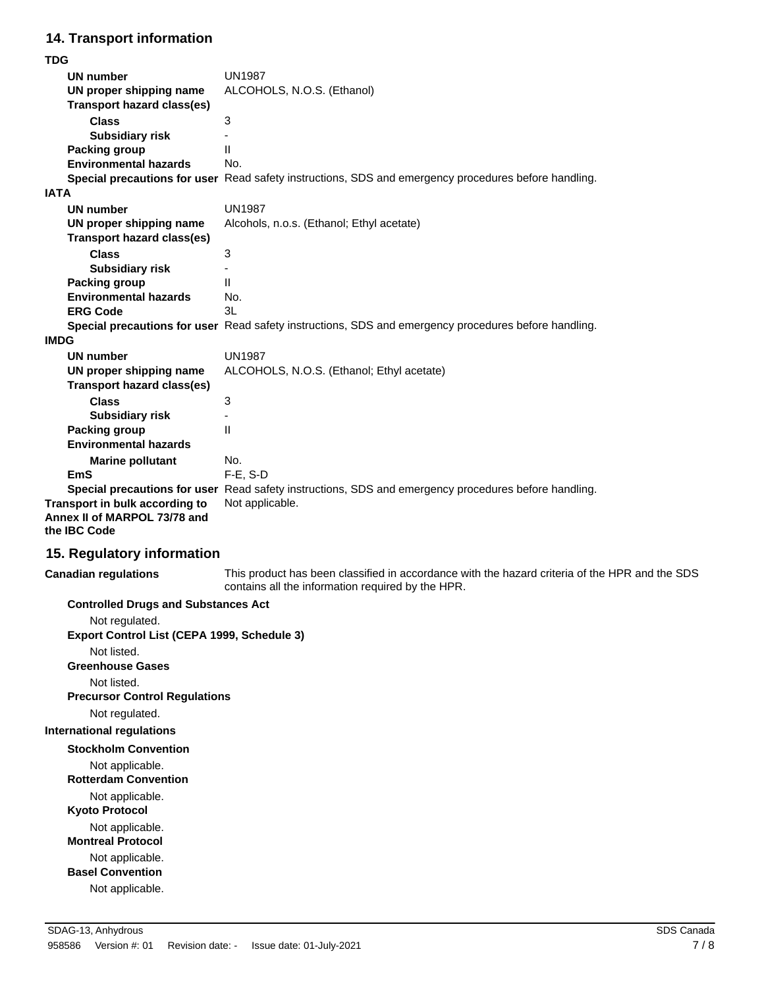# **14. Transport information**

**TDG**

| <b>UN1987</b><br>UN number<br>ALCOHOLS, N.O.S. (Ethanol)<br>UN proper shipping name<br><b>Transport hazard class(es)</b><br><b>Class</b><br>3<br><b>Subsidiary risk</b><br>$\mathbf{I}$<br><b>Packing group</b><br><b>Environmental hazards</b><br>No.<br>Special precautions for user Read safety instructions, SDS and emergency procedures before handling.<br><b>IATA</b><br><b>UN1987</b><br><b>UN number</b><br>UN proper shipping name<br>Alcohols, n.o.s. (Ethanol; Ethyl acetate)<br><b>Transport hazard class(es)</b><br><b>Class</b><br>3<br><b>Subsidiary risk</b><br>$\mathbf{I}$<br><b>Packing group</b><br><b>Environmental hazards</b><br>No.<br>3L<br><b>ERG Code</b><br>Special precautions for user Read safety instructions, SDS and emergency procedures before handling.<br><b>IMDG</b><br><b>UN1987</b><br><b>UN number</b> |  |
|----------------------------------------------------------------------------------------------------------------------------------------------------------------------------------------------------------------------------------------------------------------------------------------------------------------------------------------------------------------------------------------------------------------------------------------------------------------------------------------------------------------------------------------------------------------------------------------------------------------------------------------------------------------------------------------------------------------------------------------------------------------------------------------------------------------------------------------------------|--|
|                                                                                                                                                                                                                                                                                                                                                                                                                                                                                                                                                                                                                                                                                                                                                                                                                                                    |  |
|                                                                                                                                                                                                                                                                                                                                                                                                                                                                                                                                                                                                                                                                                                                                                                                                                                                    |  |
|                                                                                                                                                                                                                                                                                                                                                                                                                                                                                                                                                                                                                                                                                                                                                                                                                                                    |  |
|                                                                                                                                                                                                                                                                                                                                                                                                                                                                                                                                                                                                                                                                                                                                                                                                                                                    |  |
|                                                                                                                                                                                                                                                                                                                                                                                                                                                                                                                                                                                                                                                                                                                                                                                                                                                    |  |
|                                                                                                                                                                                                                                                                                                                                                                                                                                                                                                                                                                                                                                                                                                                                                                                                                                                    |  |
|                                                                                                                                                                                                                                                                                                                                                                                                                                                                                                                                                                                                                                                                                                                                                                                                                                                    |  |
|                                                                                                                                                                                                                                                                                                                                                                                                                                                                                                                                                                                                                                                                                                                                                                                                                                                    |  |
|                                                                                                                                                                                                                                                                                                                                                                                                                                                                                                                                                                                                                                                                                                                                                                                                                                                    |  |
|                                                                                                                                                                                                                                                                                                                                                                                                                                                                                                                                                                                                                                                                                                                                                                                                                                                    |  |
|                                                                                                                                                                                                                                                                                                                                                                                                                                                                                                                                                                                                                                                                                                                                                                                                                                                    |  |
|                                                                                                                                                                                                                                                                                                                                                                                                                                                                                                                                                                                                                                                                                                                                                                                                                                                    |  |
|                                                                                                                                                                                                                                                                                                                                                                                                                                                                                                                                                                                                                                                                                                                                                                                                                                                    |  |
|                                                                                                                                                                                                                                                                                                                                                                                                                                                                                                                                                                                                                                                                                                                                                                                                                                                    |  |
|                                                                                                                                                                                                                                                                                                                                                                                                                                                                                                                                                                                                                                                                                                                                                                                                                                                    |  |
|                                                                                                                                                                                                                                                                                                                                                                                                                                                                                                                                                                                                                                                                                                                                                                                                                                                    |  |
|                                                                                                                                                                                                                                                                                                                                                                                                                                                                                                                                                                                                                                                                                                                                                                                                                                                    |  |
|                                                                                                                                                                                                                                                                                                                                                                                                                                                                                                                                                                                                                                                                                                                                                                                                                                                    |  |
|                                                                                                                                                                                                                                                                                                                                                                                                                                                                                                                                                                                                                                                                                                                                                                                                                                                    |  |
|                                                                                                                                                                                                                                                                                                                                                                                                                                                                                                                                                                                                                                                                                                                                                                                                                                                    |  |
| ALCOHOLS, N.O.S. (Ethanol; Ethyl acetate)<br>UN proper shipping name                                                                                                                                                                                                                                                                                                                                                                                                                                                                                                                                                                                                                                                                                                                                                                               |  |
| <b>Transport hazard class(es)</b>                                                                                                                                                                                                                                                                                                                                                                                                                                                                                                                                                                                                                                                                                                                                                                                                                  |  |
| 3<br><b>Class</b>                                                                                                                                                                                                                                                                                                                                                                                                                                                                                                                                                                                                                                                                                                                                                                                                                                  |  |
| <b>Subsidiary risk</b>                                                                                                                                                                                                                                                                                                                                                                                                                                                                                                                                                                                                                                                                                                                                                                                                                             |  |
| $\mathbf{H}$<br><b>Packing group</b>                                                                                                                                                                                                                                                                                                                                                                                                                                                                                                                                                                                                                                                                                                                                                                                                               |  |
| <b>Environmental hazards</b>                                                                                                                                                                                                                                                                                                                                                                                                                                                                                                                                                                                                                                                                                                                                                                                                                       |  |
| No.<br><b>Marine pollutant</b>                                                                                                                                                                                                                                                                                                                                                                                                                                                                                                                                                                                                                                                                                                                                                                                                                     |  |
| $F-E$ , $S-D$<br>EmS                                                                                                                                                                                                                                                                                                                                                                                                                                                                                                                                                                                                                                                                                                                                                                                                                               |  |
| Special precautions for user Read safety instructions, SDS and emergency procedures before handling.                                                                                                                                                                                                                                                                                                                                                                                                                                                                                                                                                                                                                                                                                                                                               |  |
| Transport in bulk according to<br>Not applicable.                                                                                                                                                                                                                                                                                                                                                                                                                                                                                                                                                                                                                                                                                                                                                                                                  |  |
| Annex II of MARPOL 73/78 and<br>the IBC Code                                                                                                                                                                                                                                                                                                                                                                                                                                                                                                                                                                                                                                                                                                                                                                                                       |  |
| 15. Regulatory information                                                                                                                                                                                                                                                                                                                                                                                                                                                                                                                                                                                                                                                                                                                                                                                                                         |  |
| This product has been classified in accordance with the hazard criteria of the HPR and the SDS<br><b>Canadian regulations</b><br>contains all the information required by the HPR.                                                                                                                                                                                                                                                                                                                                                                                                                                                                                                                                                                                                                                                                 |  |

# **Controlled Drugs and Substances Act**

Not regulated. **Export Control List (CEPA 1999, Schedule 3)** Not listed. **Greenhouse Gases** Not listed. **Precursor Control Regulations** Not regulated. **International regulations Stockholm Convention** Not applicable. **Rotterdam Convention** Not applicable. **Kyoto Protocol** Not applicable. **Montreal Protocol** Not applicable. **Basel Convention** Not applicable.